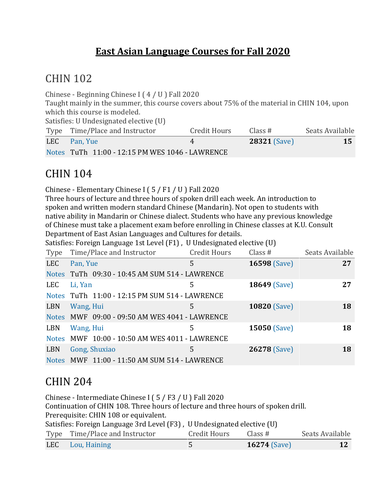#### **East Asian Language Courses for Fall 2020**

## CHIN 102

Chinese - Beginning Chinese I ( 4 / U ) Fall 2020 Taught mainly in the summer, this course covers about 75% of the material in CHIN 104, upon which this course is modeled. Satisfies: U Undesignated elective (U) Type Time/Place and Instructor Credit Hours Class # Seats Available LEC [Pan,](https://classes.ku.edu/Classes/InstructorLink.action?searchTerm=Y2ZmRnhsdG5lV0JlNFh1MFZhSmVFQT09) Yue 4 **28321** [\(Save\)](javascript:;) **15** [Notes](javascript:;) TuTh 11:00 - 12:15 PM WES 1046 - LAWRENCE

## CHIN 104

Chinese - Elementary Chinese I ( 5 / F1 / U ) Fall 2020

Three hours of lecture and three hours of spoken drill each week. An introduction to spoken and written modern standard Chinese (Mandarin). Not open to students with native ability in Mandarin or Chinese dialect. Students who have any previous knowledge of Chinese must take a placement exam before enrolling in Chinese classes at K.U. Consult Department of East Asian Languages and Cultures for details.

Satisfies: Foreign Language 1st Level (F1) , U Undesignated elective (U)

| Type         | Time/Place and Instructor                      | <b>Credit Hours</b> | Class#              | Seats Available |
|--------------|------------------------------------------------|---------------------|---------------------|-----------------|
| <b>LEC</b>   | Pan, Yue                                       | 5                   | <b>16598 (Save)</b> | 27              |
|              | Notes TuTh 09:30 - 10:45 AM SUM 514 - LAWRENCE |                     |                     |                 |
| LEC          | Li, Yan                                        | 5                   | <b>18649 (Save)</b> | 27              |
|              | Notes TuTh 11:00 - 12:15 PM SUM 514 - LAWRENCE |                     |                     |                 |
| LBN          | Wang, Hui                                      | 5                   | <b>10820 (Save)</b> | <b>18</b>       |
|              | Notes MWF 09:00 - 09:50 AM WES 4041 - LAWRENCE |                     |                     |                 |
| LBN          | Wang, Hui                                      | 5                   | 15050 (Save)        | 18              |
| <b>Notes</b> | MWF 10:00 - 10:50 AM WES 4011 - LAWRENCE       |                     |                     |                 |
| LBN          | Gong, Shuxiao                                  | 5                   | 26278 (Save)        | <b>18</b>       |
|              | Notes MWF 11:00 - 11:50 AM SUM 514 - LAWRENCE  |                     |                     |                 |

## CHIN 204

Chinese - Intermediate Chinese I ( 5 / F3 / U ) Fall 2020 Continuation of CHIN 108. Three hours of lecture and three hours of spoken drill. Prerequisite: CHIN 108 or equivalent. Satisfies: Foreign Language 3rd Level (F3) , U Undesignated elective (U) Type Time/Place and Instructor Credit Hours Class # Seats Available LEC Lou, [Haining](https://classes.ku.edu/Classes/InstructorLink.action?searchTerm=YndrL3J3VFRDQ2R5Zk9LT1RRaWt4dz09) 5 **16274** [\(Save\)](javascript:;) **12**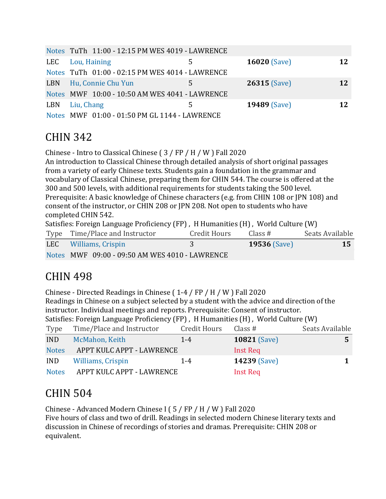|     | Notes TuTh 11:00 - 12:15 PM WES 4019 - LAWRENCE |   |                     |    |
|-----|-------------------------------------------------|---|---------------------|----|
| LEC | Lou, Haining                                    |   | <b>16020 (Save)</b> | 12 |
|     | Notes TuTh 01:00 - 02:15 PM WES 4014 - LAWRENCE |   |                     |    |
| LBN | Hu, Connie Chu Yun                              | 5 | $26315$ (Save)      | 12 |
|     | Notes MWF 10:00 - 10:50 AM WES 4041 - LAWRENCE  |   |                     |    |
| LBN | Liu, Chang                                      | 5 | <b>19489 (Save)</b> | 12 |
|     | Notes MWF 01:00 - 01:50 PM GL 1144 - LAWRENCE   |   |                     |    |

## CHIN 342

Chinese - Intro to Classical Chinese ( 3 / FP / H / W ) Fall 2020 An introduction to Classical Chinese through detailed analysis of short original passages from a variety of early Chinese texts. Students gain a foundation in the grammar and vocabulary of Classical Chinese, preparing them for CHIN 544. The course is offered at the 300 and 500 levels, with additional requirements for students taking the 500 level. Prerequisite: A basic knowledge of Chinese characters (e.g. from CHIN 108 or JPN 108) and consent of the instructor, or CHIN 208 or JPN 208. Not open to students who have completed CHIN 542. Satisfies: Foreign Language Proficiency (FP) , H Humanities (H) , World Culture (W) Type Time/Place and Instructor Credit Hours Class # Seats Available LEC [Williams,](https://classes.ku.edu/Classes/InstructorLink.action?searchTerm=dmNPWWtMak5xbzRvazIvYlRiMlA3dz09) Crispin 3 **19536** [\(Save\)](javascript:;) **15**

[Notes](javascript:;) MWF 09:00 - 09:50 AM WES 4010 - LAWRENCE

## CHIN 498

Chinese - Directed Readings in Chinese ( 1-4 / FP / H / W ) Fall 2020 Readings in Chinese on a subject selected by a student with the advice and direction of the instructor. Individual meetings and reports. Prerequisite: Consent of instructor. Satisfies: Foreign Language Proficiency (FP) , H Humanities (H) , World Culture (W)

| Type         | Time/Place and Instructor | <b>Credit Hours</b> | Class $#$           | Seats Available |
|--------------|---------------------------|---------------------|---------------------|-----------------|
| <b>IND</b>   | McMahon, Keith            | $1 - 4$             | <b>10821 (Save)</b> |                 |
| <b>Notes</b> | APPT KULC APPT - LAWRENCE |                     | Inst Req            |                 |
| <b>IND</b>   | Williams, Crispin         | $1 - 4$             | <b>14239 (Save)</b> |                 |
| <b>Notes</b> | APPT KULC APPT - LAWRENCE |                     | Inst Req            |                 |

# CHIN 504

Chinese - Advanced Modern Chinese I ( 5 / FP / H / W ) Fall 2020

Five hours of class and two of drill. Readings in selected modern Chinese literary texts and discussion in Chinese of recordings of stories and dramas. Prerequisite: CHIN 208 or equivalent.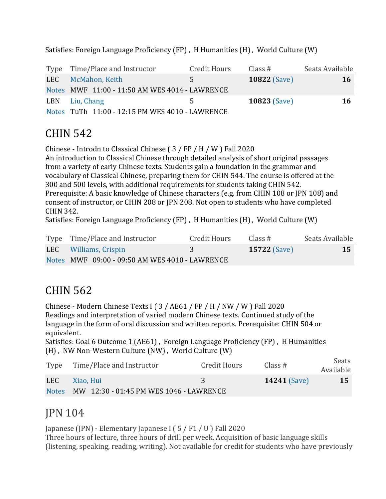Type Time/Place and Instructor Credit Hours Class # Seats Available LEC [McMahon,](https://classes.ku.edu/Classes/InstructorLink.action?searchTerm=ODUwQkZlQWlsQUFZQWNDdmxHbkRyQT09) Keith 5 **10822** [\(Save\)](javascript:;) **16** [Notes](javascript:;) MWF 11:00 - 11:50 AM WES 4014 - LAWRENCE LBN Liu, [Chang](https://classes.ku.edu/Classes/InstructorLink.action?searchTerm=OUZNOXM5dTFjYWkvTzA0SjZoWWNNQT09) 5 **10823** [\(Save\)](javascript:;) **16** [Notes](javascript:;) TuTh 11:00 - 12:15 PM WES 4010 - LAWRENCE

Satisfies: Foreign Language Proficiency (FP) , H Humanities (H) , World Culture (W)

## CHIN 542

Chinese - Introdn to Classical Chinese ( 3 / FP / H / W ) Fall 2020 An introduction to Classical Chinese through detailed analysis of short original passages from a variety of early Chinese texts. Students gain a foundation in the grammar and vocabulary of Classical Chinese, preparing them for CHIN 544. The course is offered at the 300 and 500 levels, with additional requirements for students taking CHIN 542. Prerequisite: A basic knowledge of Chinese characters (e.g. from CHIN 108 or JPN 108) and consent of instructor, or CHIN 208 or JPN 208. Not open to students who have completed CHIN 342.

Satisfies: Foreign Language Proficiency (FP) , H Humanities (H) , World Culture (W)

| Type Time/Place and Instructor                 | Credit Hours | Class $#$           | Seats Available |
|------------------------------------------------|--------------|---------------------|-----------------|
| LEC Williams, Crispin                          |              | <b>15722 (Save)</b> | 15              |
| Notes MWF 09:00 - 09:50 AM WES 4010 - LAWRENCE |              |                     |                 |

## CHIN 562

Chinese - Modern Chinese Texts I ( 3 / AE61 / FP / H / NW / W ) Fall 2020 Readings and interpretation of varied modern Chinese texts. Continued study of the language in the form of oral discussion and written reports. Prerequisite: CHIN 504 or equivalent.

Satisfies: Goal 6 Outcome 1 (AE61) , Foreign Language Proficiency (FP) , H Humanities (H) , NW Non-Western Culture (NW) , World Culture (W)

|              | Type Time/Place and Instructor          | Credit Hours | Class $#$           | Seats<br>Available |
|--------------|-----------------------------------------|--------------|---------------------|--------------------|
| LEC          | Xiao. Hui                               |              | <b>14241 (Save)</b> | 15                 |
| <b>Notes</b> | MW 12:30 - 01:45 PM WES 1046 - LAWRENCE |              |                     |                    |

#### JPN 104

Japanese (JPN) - Elementary Japanese I ( 5 / F1 / U ) Fall 2020 Three hours of lecture, three hours of drill per week. Acquisition of basic language skills (listening, speaking, reading, writing). Not available for credit for students who have previously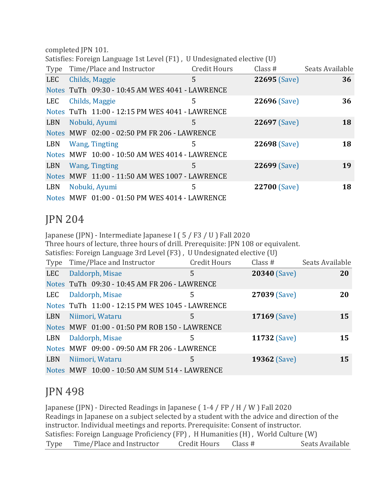completed JPN 101.

Satisfies: Foreign Language 1st Level (F1) , U Undesignated elective (U)

| Type       |                       | Time/Place and Instructor                       | <b>Credit Hours</b> | Class #      | Seats Available |
|------------|-----------------------|-------------------------------------------------|---------------------|--------------|-----------------|
| <b>LEC</b> | Childs, Maggie        |                                                 | 5                   | 22695 (Save) | 36              |
|            |                       | Notes TuTh 09:30 - 10:45 AM WES 4041 - LAWRENCE |                     |              |                 |
| LEC        | Childs, Maggie        |                                                 | 5                   | 22696 (Save) | 36              |
|            |                       | Notes TuTh 11:00 - 12:15 PM WES 4041 - LAWRENCE |                     |              |                 |
| LBN        | Nobuki, Ayumi         |                                                 | 5                   | 22697 (Save) | 18              |
|            |                       | Notes MWF 02:00 - 02:50 PM FR 206 - LAWRENCE    |                     |              |                 |
| LBN        | <b>Wang, Tingting</b> |                                                 | 5                   | 22698 (Save) | 18              |
|            |                       | Notes MWF 10:00 - 10:50 AM WES 4014 - LAWRENCE  |                     |              |                 |
| LBN        | <b>Wang, Tingting</b> |                                                 | 5.                  | 22699 (Save) | 19              |
|            |                       | Notes MWF 11:00 - 11:50 AM WES 1007 - LAWRENCE  |                     |              |                 |
| LBN        | Nobuki, Ayumi         |                                                 | 5                   | 22700 (Save) | 18              |
|            |                       | Notes MWF 01:00 - 01:50 PM WES 4014 - LAWRENCE  |                     |              |                 |

#### JPN 204

Japanese (JPN) - Intermediate Japanese I ( 5 / F3 / U ) Fall 2020 Three hours of lecture, three hours of drill. Prerequisite: JPN 108 or equivalent. Satisfies: Foreign Language 3rd Level (F3) , U Undesignated elective (U) Type Time/Place and Instructor Credit Hours Class # Seats Available LEC [Daldorph,](https://classes.ku.edu/Classes/InstructorLink.action?searchTerm=aXJydSttSlgwZmliUU9obitmOXQ0Zz09) Misae 5 **20340** [\(Save\)](javascript:;) **20** [Notes](javascript:;) TuTh 09:30 - 10:45 AM FR 206 - LAWRENCE LEC [Daldorph,](https://classes.ku.edu/Classes/InstructorLink.action?searchTerm=SW5xNG96OG1pQzQvOEhyTHU2SkZWdz09) Misae 5 **27039** [\(Save\)](javascript:;) **20** [Notes](javascript:;) TuTh 11:00 - 12:15 PM WES 1045 - LAWRENCE LBN [Niimori,](https://classes.ku.edu/Classes/InstructorLink.action?searchTerm=bUxQRnQ5ZXdXcTZUQnBEczhPQThSQT09) Wataru 5 **17169** [\(Save\)](javascript:;) **15** [Notes](javascript:;) MWF 01:00 - 01:50 PM ROB 150 - LAWRENCE LBN [Daldorph,](https://classes.ku.edu/Classes/InstructorLink.action?searchTerm=L3VaY0s3TW5TSG16ZkVVR1p3aERxUT09) Misae 5 **11732** [\(Save\)](javascript:;) **15** [Notes](javascript:;) MWF 09:00 - 09:50 AM FR 206 - LAWRENCE LBN [Niimori,](https://classes.ku.edu/Classes/InstructorLink.action?searchTerm=OGZjNGxNMVozQWpQS092eXh1Y2VQUT09) Wataru 5 **19362** [\(Save\)](javascript:;) **15** [Notes](javascript:;) MWF 10:00 - 10:50 AM SUM 514 - LAWRENCE

# JPN 498

Japanese (JPN) - Directed Readings in Japanese ( 1-4 / FP / H / W ) Fall 2020 Readings in Japanese on a subject selected by a student with the advice and direction of the instructor. Individual meetings and reports. Prerequisite: Consent of instructor. Satisfies: Foreign Language Proficiency (FP) , H Humanities (H) , World Culture (W) Type Time/Place and Instructor Credit Hours Class # Seats Available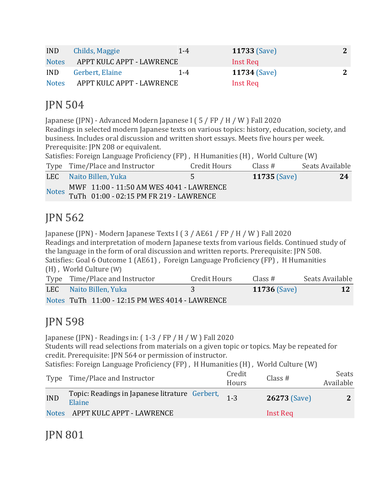| <b>IND</b>   | Childs, Maggie            | $1 - 4$ | <b>11733 (Save)</b> | 2 |
|--------------|---------------------------|---------|---------------------|---|
| <b>Notes</b> | APPT KULC APPT - LAWRENCE |         | Inst Req            |   |
| <b>IND</b>   | Gerbert, Elaine           | 1-4     | <b>11734 (Save)</b> |   |
| <b>Notes</b> | APPT KULC APPT - LAWRENCE |         | Inst Req            |   |

## JPN 504

Japanese (JPN) - Advanced Modern Japanese I ( 5 / FP / H / W ) Fall 2020 Readings in selected modern Japanese texts on various topics: history, education, society, and business. Includes oral discussion and written short essays. Meets five hours per week. Prerequisite: JPN 208 or equivalent.

|  | Satisfies: Foreign Language Proficiency (FP), H Humanities (H), World Culture (W) |  |
|--|-----------------------------------------------------------------------------------|--|
|--|-----------------------------------------------------------------------------------|--|

|  | Type Time/Place and Instructor                                                            | Credit Hours | Class#              | Seats Available |
|--|-------------------------------------------------------------------------------------------|--------------|---------------------|-----------------|
|  | LEC Naito Billen, Yuka                                                                    | 5.           | <b>11735 (Save)</b> | -24             |
|  | Notes MWF 11:00 - 11:50 AM WES 4041 - LAWRENCE<br>TuTh 01:00 - 02:15 PM FR 219 - LAWRENCE |              |                     |                 |

## JPN 562

Japanese (JPN) - Modern Japanese Texts I ( 3 / AE61 / FP / H / W ) Fall 2020 Readings and interpretation of modern Japanese texts from various fields. Continued study of the language in the form of oral discussion and written reports. Prerequisite: JPN 508. Satisfies: Goal 6 Outcome 1 (AE61) , Foreign Language Proficiency (FP) , H Humanities (H) , World Culture (W) Type Time/Place and Instructor Credit Hours Class # Seats Available

| Type Thile/Place and instructor                 | Credit Hours | UJASS #             | -Seats Available |
|-------------------------------------------------|--------------|---------------------|------------------|
| LEC Naito Billen, Yuka                          |              | <b>11736 (Save)</b> |                  |
| Notes TuTh 11:00 - 12:15 PM WES 4014 - LAWRENCE |              |                     |                  |

## JPN 598

Japanese (JPN) - Readings in: ( 1-3 / FP / H / W ) Fall 2020 Students will read selections from materials on a given topic or topics. May be repeated for credit. Prerequisite: JPN 564 or permission of instructor. Satisfies: Foreign Language Proficiency (FP) , H Humanities (H) , World Culture (W) Type Time/Place and Instructor Credit Credit Class # Seats<br>Hours Class # Available Available

| <b>IND</b> | <b>Topic:</b> Readings in Japanese litrature Gerbert, $1-3$<br>Elaine |  | <b>26273 (Save)</b> | $\overline{2}$ |
|------------|-----------------------------------------------------------------------|--|---------------------|----------------|
|            | Notes APPT KULC APPT - LAWRENCE                                       |  | Inst Req            |                |

JPN 801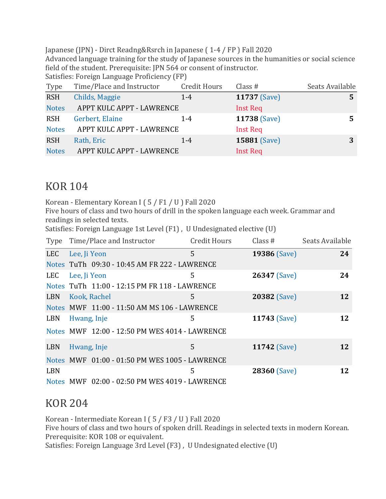Japanese (JPN) - Dirct Readng&Rsrch in Japanese ( 1-4 / FP ) Fall 2020

Advanced language training for the study of Japanese sources in the humanities or social science field of the student. Prerequisite: JPN 564 or consent of instructor.

Satisfies: Foreign Language Proficiency (FP)

| Type         | Time/Place and Instructor | <b>Credit Hours</b> | Class $#$           | Seats Available |
|--------------|---------------------------|---------------------|---------------------|-----------------|
| <b>RSH</b>   | Childs, Maggie            | $1 - 4$             | 11737 (Save)        | 5               |
| <b>Notes</b> | APPT KULC APPT - LAWRENCE |                     | <b>Inst Req</b>     |                 |
| <b>RSH</b>   | Gerbert, Elaine           | $1 - 4$             | 11738 (Save)        | 5.              |
| <b>Notes</b> | APPT KULC APPT - LAWRENCE |                     | <b>Inst Req</b>     |                 |
| <b>RSH</b>   | Rath, Eric                | $1 - 4$             | <b>15881 (Save)</b> | 3               |
| <b>Notes</b> | APPT KULC APPT - LAWRENCE |                     | Inst Req            |                 |

#### KOR 104

Korean - Elementary Korean I ( 5 / F1 / U ) Fall 2020

Five hours of class and two hours of drill in the spoken language each week. Grammar and readings in selected texts.

Satisfies: Foreign Language 1st Level (F1) , U Undesignated elective (U)

| Type       |              | Time/Place and Instructor                      | <b>Credit Hours</b> | Class $#$           | Seats Available |
|------------|--------------|------------------------------------------------|---------------------|---------------------|-----------------|
| <b>LEC</b> | Lee, Ji Yeon |                                                | 5                   | <b>19386 (Save)</b> | 24              |
|            |              | Notes TuTh 09:30 - 10:45 AM FR 222 - LAWRENCE  |                     |                     |                 |
| <b>LEC</b> | Lee, Ji Yeon |                                                | 5                   | 26347 (Save)        | 24              |
|            |              | Notes TuTh 11:00 - 12:15 PM FR 118 - LAWRENCE  |                     |                     |                 |
| <b>LBN</b> |              | Kook, Rachel                                   | 5                   | <b>20382</b> (Save) | 12              |
|            |              | Notes MWF 11:00 - 11:50 AM MS 106 - LAWRENCE   |                     |                     |                 |
| <b>LBN</b> | Hwang, Inje  |                                                | 5                   | 11743 (Save)        | 12              |
|            |              | Notes MWF 12:00 - 12:50 PM WES 4014 - LAWRENCE |                     |                     |                 |
| <b>LBN</b> | Hwang, Inje  |                                                | 5                   | <b>11742 (Save)</b> | 12              |
|            |              | Notes MWF 01:00 - 01:50 PM WES 1005 - LAWRENCE |                     |                     |                 |
| <b>LBN</b> |              |                                                | 5                   | 28360 (Save)        | 12              |
|            |              | Notes MWF 02:00 - 02:50 PM WES 4019 - LAWRENCE |                     |                     |                 |

#### KOR 204

Korean - Intermediate Korean I ( 5 / F3 / U ) Fall 2020 Five hours of class and two hours of spoken drill. Readings in selected texts in modern Korean. Prerequisite: KOR 108 or equivalent. Satisfies: Foreign Language 3rd Level (F3) , U Undesignated elective (U)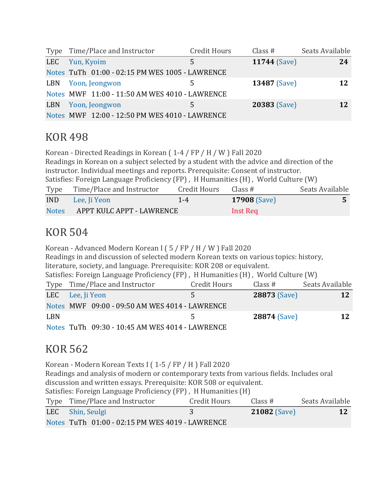|     | Type Time/Place and Instructor                  | <b>Credit Hours</b> | Class $#$           | Seats Available |
|-----|-------------------------------------------------|---------------------|---------------------|-----------------|
| LEC | Yun, Kyoim                                      | 5                   | <b>11744 (Save)</b> | 24              |
|     | Notes TuTh 01:00 - 02:15 PM WES 1005 - LAWRENCE |                     |                     |                 |
| LBN | Yoon, Jeongwon                                  | 5                   | <b>13487</b> (Save) | 12              |
|     | Notes MWF 11:00 - 11:50 AM WES 4010 - LAWRENCE  |                     |                     |                 |
| LBN | Yoon, Jeongwon                                  | 5.                  | 20383 (Save)        | <b>12</b>       |
|     | Notes MWF 12:00 - 12:50 PM WES 4010 - LAWRENCE  |                     |                     |                 |

#### KOR 498

Korean - Directed Readings in Korean ( 1-4 / FP / H / W ) Fall 2020 Readings in Korean on a subject selected by a student with the advice and direction of the instructor. Individual meetings and reports. Prerequisite: Consent of instructor. Satisfies: Foreign Language Proficiency (FP) , H Humanities (H) , World Culture (W) Type Time/Place and Instructor Credit Hours Class # Seats Available IND Lee, Ji [Yeon](https://classes.ku.edu/Classes/InstructorLink.action?searchTerm=T1dtU0FZOFNaTnBGTkxWZDdjSFduZz09) 1-4 **17908** [\(Save\)](javascript:;) **5** [Notes](javascript:;) APPT KULC APPT - LAWRENCE Inst Req

## KOR 504

Korean - Advanced Modern Korean I ( 5 / FP / H / W ) Fall 2020 Readings in and discussion of selected modern Korean texts on various topics: history, literature, society, and language. Prerequisite: KOR 208 or equivalent. Satisfies: Foreign Language Proficiency (FP) , H Humanities (H) , World Culture (W) Type Time/Place and Instructor Credit Hours Class # Seats Available LEC Lee, Ji [Yeon](https://classes.ku.edu/Classes/InstructorLink.action?searchTerm=MGRVYUpEREU3R0RJSTRTS0ZqekJJZz09) 5 **28873** [\(Save\)](javascript:;) **12** [Notes](javascript:;) MWF 09:00 - 09:50 AM WES 4014 - LAWRENCE LBN 5 28874 [\(Save\)](javascript:;) 12 [Notes](javascript:;) TuTh 09:30 - 10:45 AM WES 4014 - LAWRENCE

#### KOR 562

Korean - Modern Korean Texts I ( 1-5 / FP / H ) Fall 2020 Readings and analysis of modern or contemporary texts from various fields. Includes oral discussion and written essays. Prerequisite: KOR 508 or equivalent. Satisfies: Foreign Language Proficiency (FP) , H Humanities (H) Type Time/Place and Instructor Credit Hours Class # Seats Available LEC Shin, [Seulgi](https://classes.ku.edu/Classes/InstructorLink.action?searchTerm=VGcxNDMvMVB3YmY3ZnFOaUR4czd3dz09) 3 **21082** [\(Save\)](javascript:;) **12** [Notes](javascript:;) TuTh 01:00 - 02:15 PM WES 4019 - LAWRENCE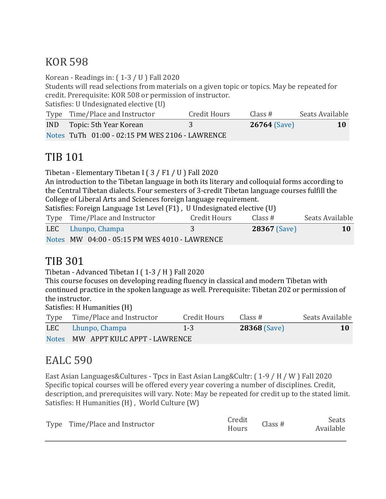## KOR 598

Korean - Readings in: ( 1-3 / U ) Fall 2020

Students will read selections from materials on a given topic or topics. May be repeated for credit. Prerequisite: KOR 508 or permission of instructor.

Satisfies: U Undesignated elective (U)

| Type Time/Place and Instructor                  | <b>Credit Hours</b> | Class#              | Seats Available |
|-------------------------------------------------|---------------------|---------------------|-----------------|
| <b>IND</b> Topic: 5th Year Korean               |                     | <b>26764</b> (Save) | 10              |
| Notes TuTh 01:00 - 02:15 PM WES 2106 - LAWRENCE |                     |                     |                 |

## TIB 101

Tibetan - Elementary Tibetan I ( 3 / F1 / U ) Fall 2020

An introduction to the Tibetan language in both its literary and colloquial forms according to the Central Tibetan dialects. Four semesters of 3-credit Tibetan language courses fulfill the College of Liberal Arts and Sciences foreign language requirement.

Satisfies: Foreign Language 1st Level (F1) , U Undesignated elective (U)

| Type Time/Place and Instructor                | Credit Hours | Class #             | Seats Available |
|-----------------------------------------------|--------------|---------------------|-----------------|
| LEC Lhunpo, Champa                            |              | <b>28367</b> (Save) | <b>10</b>       |
| Notes MW 04:00 - 05:15 PM WES 4010 - LAWRENCE |              |                     |                 |

## TIB 301

Tibetan - Advanced Tibetan I ( 1-3 / H ) Fall 2020

This course focuses on developing reading fluency in classical and modern Tibetan with continued practice in the spoken language as well. Prerequisite: Tibetan 202 or permission of the instructor.

Satisfies: H Humanities (H)

| Type Time/Place and Instructor     | Credit Hours | Class #             | Seats Available |
|------------------------------------|--------------|---------------------|-----------------|
| LEC Lhunpo, Champa                 | $1 - 3$      | <b>28368 (Save)</b> | <b>10</b>       |
| Notes MW APPT KULC APPT - LAWRENCE |              |                     |                 |

# EALC 590

East Asian Languages&Cultures - Tpcs in East Asian Lang&Cultr: ( 1-9 / H / W ) Fall 2020 Specific topical courses will be offered every year covering a number of disciplines. Credit, description, and prerequisites will vary. Note: May be repeated for credit up to the stated limit. Satisfies: H Humanities (H) , World Culture (W)

| Type Time/Place and Instructor | Credit<br>Hours | Class # | Seats<br>Available |
|--------------------------------|-----------------|---------|--------------------|
|                                |                 |         |                    |